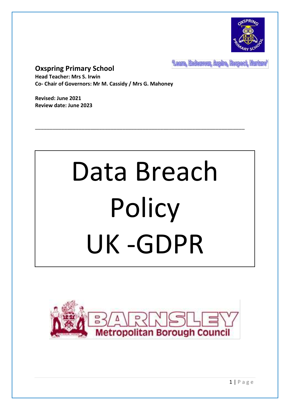

Leam, Endeavour, Aspire, Respect, Nurture'

# **Oxspring Primary School**

**Head Teacher: Mrs S. Irwin Co- Chair of Governors: Mr M. Cassidy / Mrs G. Mahoney**

**Revised: June 2021 Review date: June 2023**

# Data Breach **Policy** UK -GDPR

\_\_\_\_\_\_\_\_\_\_\_\_\_\_\_\_\_\_\_\_\_\_\_\_\_\_\_\_\_\_\_\_\_\_\_\_\_\_\_\_\_\_\_\_\_\_\_\_\_\_\_\_\_\_\_\_\_\_\_\_\_\_\_\_\_\_\_\_\_\_\_\_

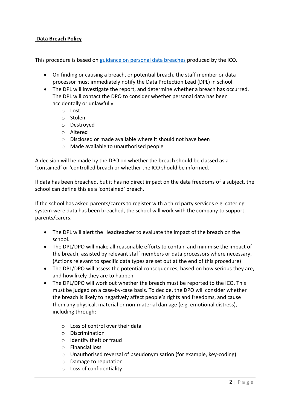# **Data Breach Policy**

This procedure is based on [guidance on personal data breaches](https://ico.org.uk/for-organisations/guide-to-the-general-data-protection-regulation-gdpr/personal-data-breaches/) produced by the ICO.

- On finding or causing a breach, or potential breach, the staff member or data processor must immediately notify the Data Protection Lead (DPL) in school.
- The DPL will investigate the report, and determine whether a breach has occurred. The DPL will contact the DPO to consider whether personal data has been accidentally or unlawfully:
	- o Lost
	- o Stolen
	- o Destroyed
	- o Altered
	- o Disclosed or made available where it should not have been
	- o Made available to unauthorised people

A decision will be made by the DPO on whether the breach should be classed as a 'contained' or 'controlled breach or whether the ICO should be informed.

If data has been breached, but it has no direct impact on the data freedoms of a subject, the school can define this as a 'contained' breach.

If the school has asked parents/carers to register with a third party services e.g. catering system were data has been breached, the school will work with the company to support parents/carers.

- The DPL will alert the Headteacher to evaluate the impact of the breach on the school.
- The DPL/DPO will make all reasonable efforts to contain and minimise the impact of the breach, assisted by relevant staff members or data processors where necessary. (Actions relevant to specific data types are set out at the end of this procedure)
- The DPL/DPO will assess the potential consequences, based on how serious they are, and how likely they are to happen
- The DPL/DPO will work out whether the breach must be reported to the ICO. This must be judged on a case-by-case basis. To decide, the DPO will consider whether the breach is likely to negatively affect people's rights and freedoms, and cause them any physical, material or non-material damage (e.g. emotional distress), including through:
	- o Loss of control over their data
	- o Discrimination
	- o Identify theft or fraud
	- o Financial loss
	- o Unauthorised reversal of pseudonymisation (for example, key-coding)
	- o Damage to reputation
	- o Loss of confidentiality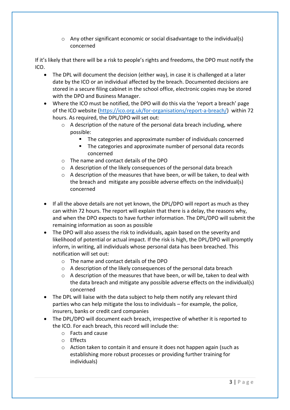$\circ$  Any other significant economic or social disadvantage to the individual(s) concerned

If it's likely that there will be a risk to people's rights and freedoms, the DPO must notify the ICO.

- The DPL will document the decision (either way), in case it is challenged at a later date by the ICO or an individual affected by the breach. Documented decisions are stored in a secure filing cabinet in the school office, electronic copies may be stored with the DPO and Business Manager.
- Where the ICO must be notified, the DPO will do this via the 'report a breach' page of the ICO website [\(https://ico.org.uk/for-organisations/report-a-breach/\)](https://ico.org.uk/for-organisations/report-a-breach/) within 72 hours. As required, the DPL/DPO will set out:
	- o A description of the nature of the personal data breach including, where possible:
		- The categories and approximate number of individuals concerned
		- The categories and approximate number of personal data records concerned
	- o The name and contact details of the DPO
	- o A description of the likely consequences of the personal data breach
	- $\circ$  A description of the measures that have been, or will be taken, to deal with the breach and mitigate any possible adverse effects on the individual(s) concerned
- If all the above details are not yet known, the DPL/DPO will report as much as they can within 72 hours. The report will explain that there is a delay, the reasons why, and when the DPO expects to have further information. The DPL/DPO will submit the remaining information as soon as possible
- The DPO will also assess the risk to individuals, again based on the severity and likelihood of potential or actual impact. If the risk is high, the DPL/DPO will promptly inform, in writing, all individuals whose personal data has been breached. This notification will set out:
	- o The name and contact details of the DPO
	- o A description of the likely consequences of the personal data breach
	- o A description of the measures that have been, or will be, taken to deal with the data breach and mitigate any possible adverse effects on the individual(s) concerned
- The DPL will liaise with the data subject to help them notify any relevant third parties who can help mitigate the loss to individuals – for example, the police, insurers, banks or credit card companies
- The DPL/DPO will document each breach, irrespective of whether it is reported to the ICO. For each breach, this record will include the:
	- o Facts and cause
	- o Effects
	- o Action taken to contain it and ensure it does not happen again (such as establishing more robust processes or providing further training for individuals)